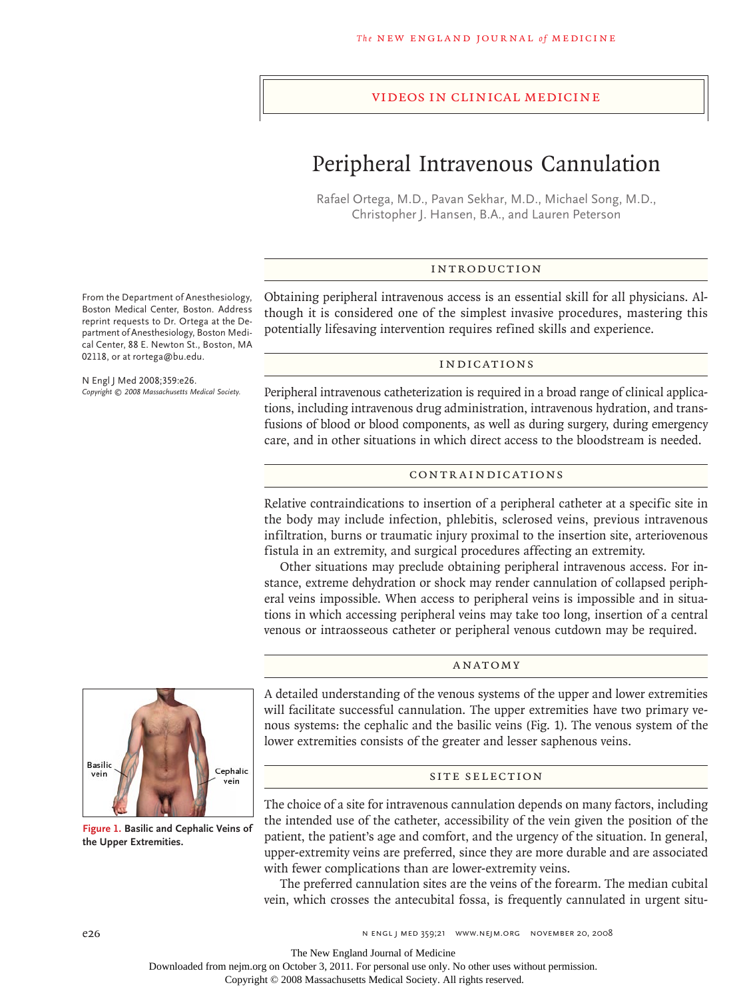## videos in clinical medicine

# Peripheral Intravenous Cannulation

Rafael Ortega, M.D., Pavan Sekhar, M.D., Michael Song, M.D., Christopher J. Hansen, B.A., and Lauren Peterson

## Introduction

Obtaining peripheral intravenous access is an essential skill for all physicians. Although it is considered one of the simplest invasive procedures, mastering this potentially lifesaving intervention requires refined skills and experience.

#### **INDICATIONS**

Peripheral intravenous catheterization is required in a broad range of clinical applications, including intravenous drug administration, intravenous hydration, and transfusions of blood or blood components, as well as during surgery, during emergency care, and in other situations in which direct access to the bloodstream is needed.

## Contraindications

Relative contraindications to insertion of a peripheral catheter at a specific site in the body may include infection, phlebitis, sclerosed veins, previous intravenous infiltration, burns or traumatic injury proximal to the insertion site, arteriovenous fistula in an extremity, and surgical procedures affecting an extremity.

Other situations may preclude obtaining peripheral intravenous access. For instance, extreme dehydration or shock may render cannulation of collapsed peripheral veins impossible. When access to peripheral veins is impossible and in situations in which accessing peripheral veins may take too long, insertion of a central venous or intraosseous catheter or peripheral venous cutdown may be required.

#### ANATOMY

A detailed understanding of the venous systems of the upper and lower extremities will facilitate successful cannulation. The upper extremities have two primary venous systems: the cephalic and the basilic veins (Fig. 1). The venous system of the lower extremities consists of the greater and lesser saphenous veins.

## SITE SELECTION

The choice of a site for intravenous cannulation depends on many factors, including the intended use of the catheter, accessibility of the vein given the position of the patient, the patient's age and comfort, and the urgency of the situation. In general, upper-extremity veins are preferred, since they are more durable and are associated with fewer complications than are lower-extremity veins.

The preferred cannulation sites are the veins of the forearm. The median cubital vein, which crosses the antecubital fossa, is frequently cannulated in urgent situ-

From the Department of Anesthesiology, Boston Medical Center, Boston. Address reprint requests to Dr. Ortega at the Department of Anesthesiology, Boston Medical Center, 88 E. Newton St., Boston, MA 02118, or at rortega@bu.edu.

N Engl J Med 2008;359:e26. *Copyright © 2008 Massachusetts Medical Society.*



**Figure 1. Basilic and Cephalic Veins of the Upper Extremities.**

Downloaded from nejm.org on October 3, 2011. For personal use only. No other uses without permission.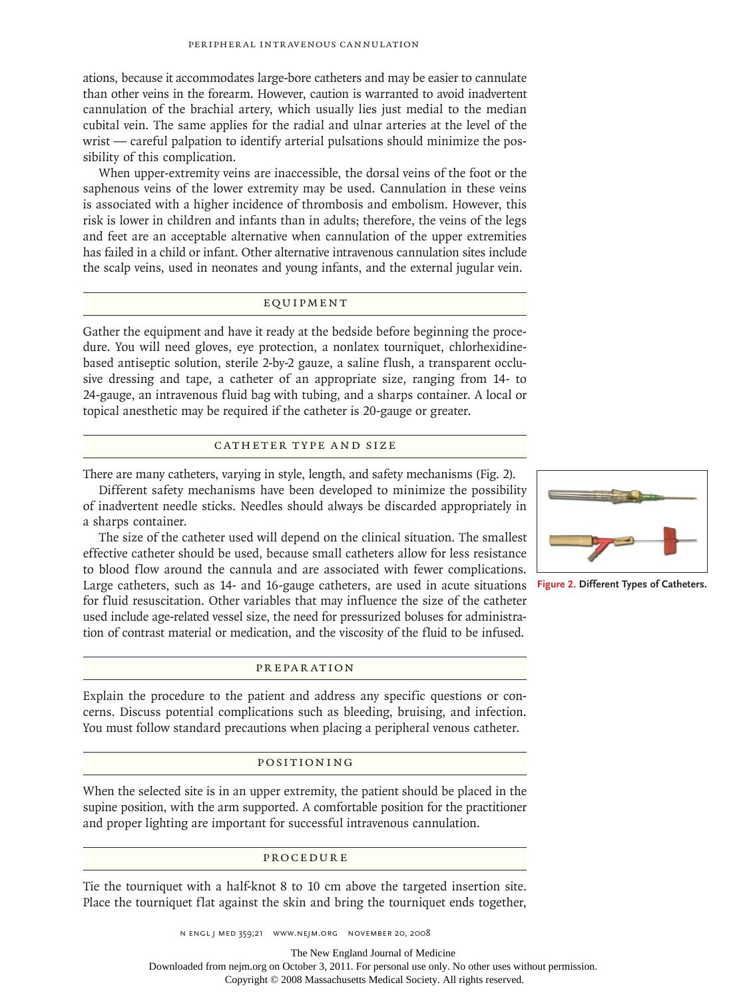ations, because it accommodates large-bore catheters and may be easier to cannulate than other veins in the forearm. However, caution is warranted to avoid inadvertent cannulation of the brachial artery, which usually lies just medial to the median cubital vein. The same applies for the radial and ulnar arteries at the level of the wrist — careful palpation to identify arterial pulsations should minimize the possibility of this complication.

When upper-extremity veins are inaccessible, the dorsal veins of the foot or the saphenous veins of the lower extremity may be used. Cannulation in these veins is associated with a higher incidence of thrombosis and embolism. However, this risk is lower in children and infants than in adults; therefore, the veins of the legs and feet are an acceptable alternative when cannulation of the upper extremities has failed in a child or infant. Other alternative intravenous cannulation sites include the scalp veins, used in neonates and young infants, and the external jugular vein.

## Equipment

Gather the equipment and have it ready at the bedside before beginning the procedure. You will need gloves, eye protection, a nonlatex tourniquet, chlorhexidinebased antiseptic solution, sterile 2-by-2 gauze, a saline flush, a transparent occlusive dressing and tape, a catheter of an appropriate size, ranging from 14- to 24-gauge, an intravenous fluid bag with tubing, and a sharps container. A local or topical anesthetic may be required if the catheter is 20-gauge or greater.

#### CATHETER TYPE AND SIZE

There are many catheters, varying in style, length, and safety mechanisms (Fig. 2).

Different safety mechanisms have been developed to minimize the possibility of inadvertent needle sticks. Needles should always be discarded appropriately in a sharps container.

The size of the catheter used will depend on the clinical situation. The smallest effective catheter should be used, because small catheters allow for less resistance to blood flow around the cannula and are associated with fewer complications. Large catheters, such as 14- and 16-gauge catheters, are used in acute situations for fluid resuscitation. Other variables that may influence the size of the catheter used include age-related vessel size, the need for pressurized boluses for administration of contrast material or medication, and the viscosity of the fluid to be infused.

## Preparation

Explain the procedure to the patient and address any specific questions or concerns. Discuss potential complications such as bleeding, bruising, and infection. You must follow standard precautions when placing a peripheral venous catheter.

#### Positioning

When the selected site is in an upper extremity, the patient should be placed in the supine position, with the arm supported. A comfortable position for the practitioner and proper lighting are important for successful intravenous cannulation.

### Procedure

Tie the tourniquet with a half-knot 8 to 10 cm above the targeted insertion site. Place the tourniquet flat against the skin and bring the tourniquet ends together,

The New England Journal of Medicine

Downloaded from nejm.org on October 3, 2011. For personal use only. No other uses without permission.



**Figure 2. Different Types of Catheters.**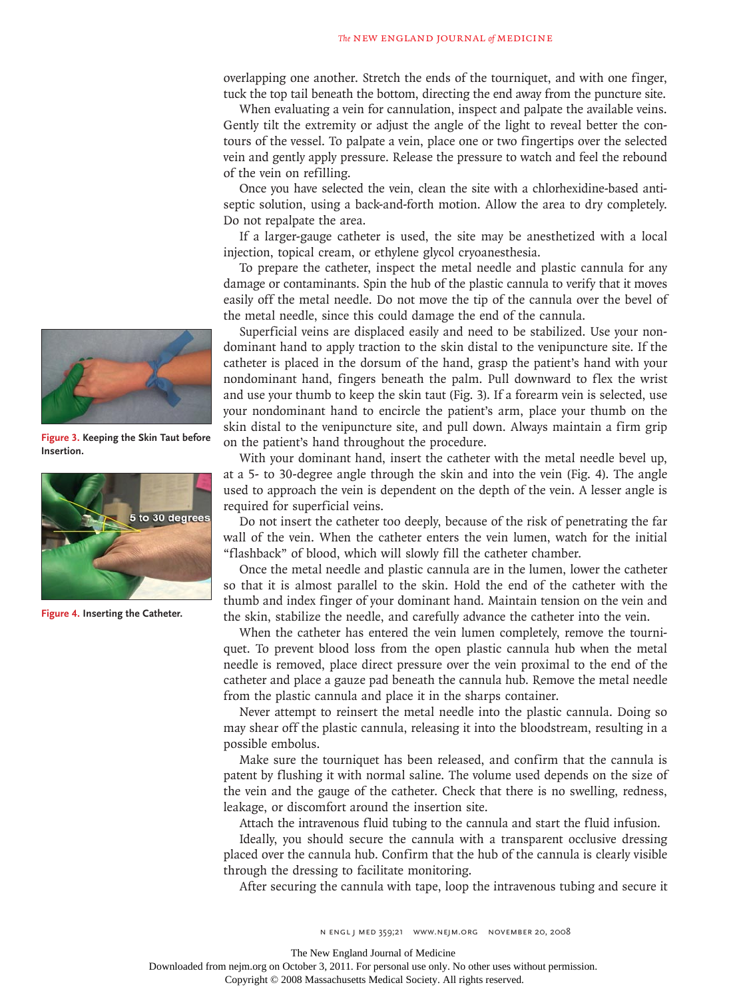overlapping one another. Stretch the ends of the tourniquet, and with one finger, tuck the top tail beneath the bottom, directing the end away from the puncture site.

When evaluating a vein for cannulation, inspect and palpate the available veins. Gently tilt the extremity or adjust the angle of the light to reveal better the contours of the vessel. To palpate a vein, place one or two fingertips over the selected vein and gently apply pressure. Release the pressure to watch and feel the rebound of the vein on refilling.

Once you have selected the vein, clean the site with a chlorhexidine-based antiseptic solution, using a back-and-forth motion. Allow the area to dry completely. Do not repalpate the area.

If a larger-gauge catheter is used, the site may be anesthetized with a local injection, topical cream, or ethylene glycol cryoanesthesia.

To prepare the catheter, inspect the metal needle and plastic cannula for any damage or contaminants. Spin the hub of the plastic cannula to verify that it moves easily off the metal needle. Do not move the tip of the cannula over the bevel of the metal needle, since this could damage the end of the cannula.

Superficial veins are displaced easily and need to be stabilized. Use your nondominant hand to apply traction to the skin distal to the venipuncture site. If the catheter is placed in the dorsum of the hand, grasp the patient's hand with your nondominant hand, fingers beneath the palm. Pull downward to flex the wrist and use your thumb to keep the skin taut (Fig. 3). If a forearm vein is selected, use your nondominant hand to encircle the patient's arm, place your thumb on the skin distal to the venipuncture site, and pull down. Always maintain a firm grip on the patient's hand throughout the procedure.

With your dominant hand, insert the catheter with the metal needle bevel up, at a 5- to 30-degree angle through the skin and into the vein (Fig. 4). The angle used to approach the vein is dependent on the depth of the vein. A lesser angle is required for superficial veins.

Do not insert the catheter too deeply, because of the risk of penetrating the far wall of the vein. When the catheter enters the vein lumen, watch for the initial "flashback" of blood, which will slowly fill the catheter chamber.

Once the metal needle and plastic cannula are in the lumen, lower the catheter so that it is almost parallel to the skin. Hold the end of the catheter with the thumb and index finger of your dominant hand. Maintain tension on the vein and the skin, stabilize the needle, and carefully advance the catheter into the vein.

When the catheter has entered the vein lumen completely, remove the tourniquet. To prevent blood loss from the open plastic cannula hub when the metal needle is removed, place direct pressure over the vein proximal to the end of the catheter and place a gauze pad beneath the cannula hub. Remove the metal needle from the plastic cannula and place it in the sharps container.

Never attempt to reinsert the metal needle into the plastic cannula. Doing so may shear off the plastic cannula, releasing it into the bloodstream, resulting in a possible embolus.

Make sure the tourniquet has been released, and confirm that the cannula is patent by flushing it with normal saline. The volume used depends on the size of the vein and the gauge of the catheter. Check that there is no swelling, redness, leakage, or discomfort around the insertion site.

Attach the intravenous fluid tubing to the cannula and start the fluid infusion.

Ideally, you should secure the cannula with a transparent occlusive dressing placed over the cannula hub. Confirm that the hub of the cannula is clearly visible through the dressing to facilitate monitoring.

After securing the cannula with tape, loop the intravenous tubing and secure it



**Figure 3. Keeping the Skin Taut before Insertion.**



**Figure 4. Inserting the Catheter.** 

n engl j med 359;21 www.nejm.org november 20, 2008

The New England Journal of Medicine

Downloaded from nejm.org on October 3, 2011. For personal use only. No other uses without permission.